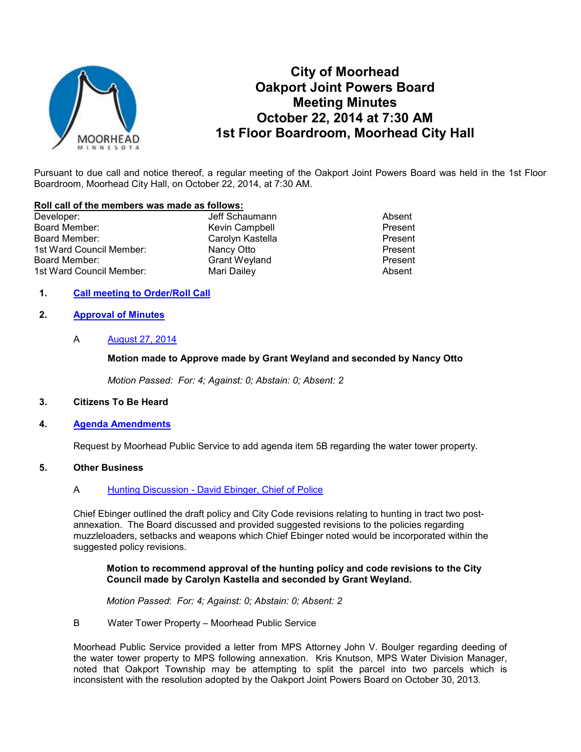

# **City of Moorhead Oakport Joint Powers Board Meeting Minutes October 22, 2014 at 7:30 AM 1st Floor Boardroom, Moorhead City Hall**

Pursuant to due call and notice thereof, a regular meeting of the Oakport Joint Powers Board was held in the 1st Floor Boardroom, Moorhead City Hall, on October 22, 2014, at 7:30 AM.

#### **Roll call of the members was made as follows:**

Developer: The Contract of Schaumann Absent Absent Absent Board Member: Network Campbell News Board Member: Network Campbell Network Campbell Present Board Member: Carolyn Kastella Present 1st Ward Council Member: Nancy Otto Nancy Otto Present<br>
Board Member: Nancy Otto Crant Weyland Present 1st Ward Council Member: Mari Dailey

Board Weyland Board Present<br>
Mari Dailey Present<br>
Absent

# **1. Call meeting to Order/Roll Call**

## **2. Approval of Minutes**

## A **August 27, 2014**

## **Motion made to Approve made by Grant Weyland and seconded by Nancy Otto**

*Motion Passed: For: 4; Against: 0; Abstain: 0; Absent: 2* 

#### **3. Citizens To Be Heard**

#### **4. Agenda Amendments**

Request by Moorhead Public Service to add agenda item 5B regarding the water tower property.

# **5. Other Business**

#### A Hunting Discussion - David Ebinger, Chief of Police

Chief Ebinger outlined the draft policy and City Code revisions relating to hunting in tract two postannexation. The Board discussed and provided suggested revisions to the policies regarding muzzleloaders, setbacks and weapons which Chief Ebinger noted would be incorporated within the suggested policy revisions.

#### **Motion to recommend approval of the hunting policy and code revisions to the City Council made by Carolyn Kastella and seconded by Grant Weyland.**

*Motion Passed*: *For: 4; Against: 0; Abstain: 0; Absent: 2*

B Water Tower Property – Moorhead Public Service

Moorhead Public Service provided a letter from MPS Attorney John V. Boulger regarding deeding of the water tower property to MPS following annexation. Kris Knutson, MPS Water Division Manager, noted that Oakport Township may be attempting to split the parcel into two parcels which is inconsistent with the resolution adopted by the Oakport Joint Powers Board on October 30, 2013.